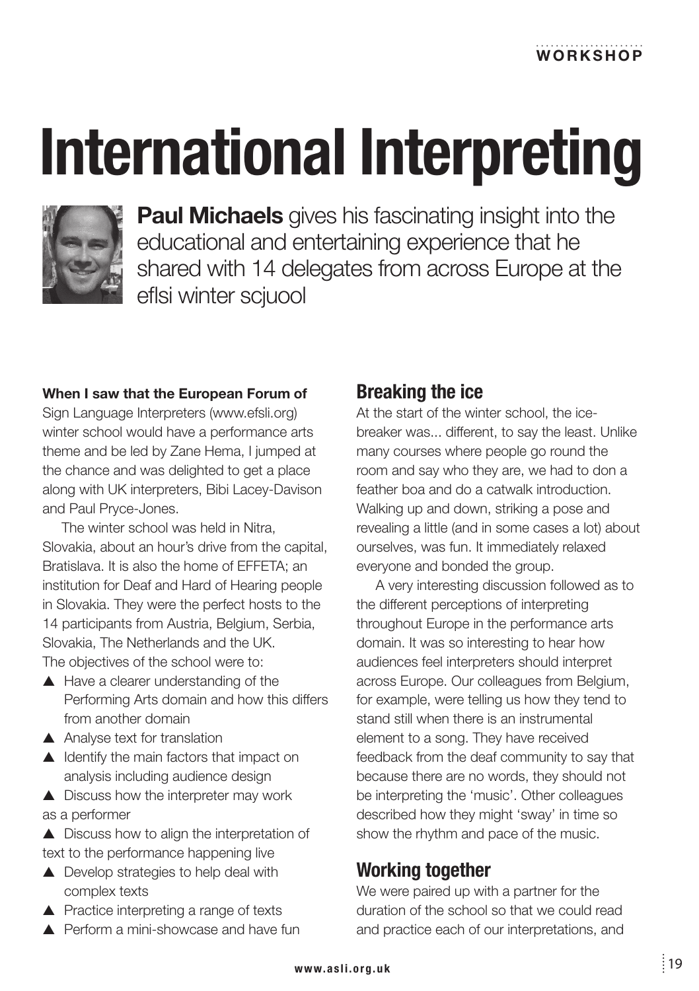# **International Interpreting**



**Paul Michaels** gives his fascinating insight into the educational and entertaining experience that he shared with 14 delegates from across Europe at the eflsi winter sciuool

#### When I saw that the European Forum of

Sign Language Interpreters (www.efsli.org) winter school would have a performance arts theme and be led by Zane Hema. I jumped at the chance and was delighted to get a place along with UK interpreters, Bibi Lacey-Davison and Paul Pryce-Jones.

The winter school was held in Nitra. Slovakia, about an hour's drive from the capital. Bratislaya. It is also the home of FFFFTA: an institution for Deaf and Hard of Hearing people in Slovakia. They were the perfect hosts to the 14 participants from Austria, Belgium, Serbia. Slovakia. The Netherlands and the UK. The objectives of the school were to:

- $\blacktriangle$  Have a clearer understanding of the Performing Arts domain and how this differs from another domain
- ▲ Analyse text for translation
- ▲ Identify the main factors that impact on analysis including audience design

 $\triangle$  Discuss how the interpreter may work as a performer

▲ Discuss how to align the interpretation of text to the performance happening live

- ▲ Develop strategies to help deal with complex texts
- ▲ Practice interpreting a range of texts
- $\blacktriangle$  Perform a mini-showcase and have fun

## **Breaking the ice**

At the start of the winter school, the icebreaker was... different, to say the least. Unlike many courses where people go round the room and say who they are, we had to don a feather boa and do a catwalk introduction. Walking up and down, striking a pose and revealing a little (and in some cases a lot) about ourselves, was fun. It immediately relaxed everyone and bonded the group.

A very interesting discussion followed as to the different perceptions of interpreting throughout Europe in the performance arts domain. It was so interesting to hear how audiences feel interpreters should interpret across Europe. Our colleagues from Belgium. for example, were telling us how they tend to stand still when there is an instrumental element to a song. They have received feedback from the deaf community to say that because there are no words, they should not be interpreting the 'music'. Other colleagues described how they might 'sway' in time so show the rhythm and pace of the music.

### **Working together**

We were paired up with a partner for the duration of the school so that we could read and practice each of our interpretations, and